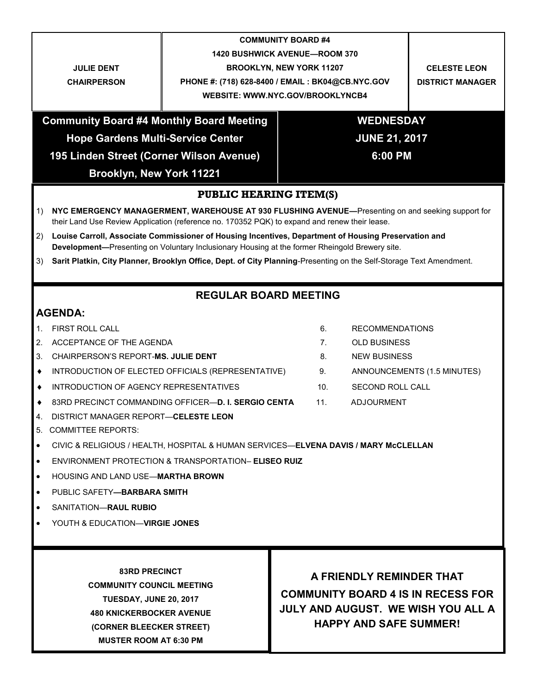|                                                                                                                                                                                                              | <b>COMMUNITY BOARD #4</b>                                                                         |                      |                                           |                        |                             |  |
|--------------------------------------------------------------------------------------------------------------------------------------------------------------------------------------------------------------|---------------------------------------------------------------------------------------------------|----------------------|-------------------------------------------|------------------------|-----------------------------|--|
|                                                                                                                                                                                                              | <b>1420 BUSHWICK AVENUE-ROOM 370</b>                                                              |                      |                                           |                        |                             |  |
| <b>JULIE DENT</b>                                                                                                                                                                                            | <b>BROOKLYN, NEW YORK 11207</b>                                                                   |                      |                                           | <b>CELESTE LEON</b>    |                             |  |
| <b>CHAIRPERSON</b>                                                                                                                                                                                           | PHONE #: (718) 628-8400 / EMAIL : BK04@CB.NYC.GOV                                                 |                      |                                           |                        | <b>DISTRICT MANAGER</b>     |  |
| <b>WEBSITE: WWW.NYC.GOV/BROOKLYNCB4</b>                                                                                                                                                                      |                                                                                                   |                      |                                           |                        |                             |  |
| <b>Community Board #4 Monthly Board Meeting</b>                                                                                                                                                              |                                                                                                   |                      | <b>WEDNESDAY</b>                          |                        |                             |  |
| <b>Hope Gardens Multi-Service Center</b>                                                                                                                                                                     |                                                                                                   | <b>JUNE 21, 2017</b> |                                           |                        |                             |  |
| 195 Linden Street (Corner Wilson Avenue)                                                                                                                                                                     |                                                                                                   | 6:00 PM              |                                           |                        |                             |  |
| Brooklyn, New York 11221                                                                                                                                                                                     |                                                                                                   |                      |                                           |                        |                             |  |
| <b>PUBLIC HEARING ITEM(S)</b>                                                                                                                                                                                |                                                                                                   |                      |                                           |                        |                             |  |
| 1)                                                                                                                                                                                                           | NYC EMERGENCY MANAGERMENT, WAREHOUSE AT 930 FLUSHING AVENUE—Presenting on and seeking support for |                      |                                           |                        |                             |  |
| their Land Use Review Application (reference no. 170352 PQK) to expand and renew their lease.                                                                                                                |                                                                                                   |                      |                                           |                        |                             |  |
| Louise Carroll, Associate Commissioner of Housing Incentives, Department of Housing Preservation and<br>2)<br>Development-Presenting on Voluntary Inclusionary Housing at the former Rheingold Brewery site. |                                                                                                   |                      |                                           |                        |                             |  |
| Sarit Platkin, City Planner, Brooklyn Office, Dept. of City Planning-Presenting on the Self-Storage Text Amendment.<br>3)                                                                                    |                                                                                                   |                      |                                           |                        |                             |  |
|                                                                                                                                                                                                              |                                                                                                   |                      |                                           |                        |                             |  |
| <b>REGULAR BOARD MEETING</b>                                                                                                                                                                                 |                                                                                                   |                      |                                           |                        |                             |  |
| <b>AGENDA:</b>                                                                                                                                                                                               |                                                                                                   |                      |                                           |                        |                             |  |
| <b>FIRST ROLL CALL</b><br>1.                                                                                                                                                                                 |                                                                                                   |                      | 6.                                        | <b>RECOMMENDATIONS</b> |                             |  |
| 2.<br>ACCEPTANCE OF THE AGENDA                                                                                                                                                                               |                                                                                                   |                      | $7_{\cdot}$                               | <b>OLD BUSINESS</b>    |                             |  |
| 3.<br>CHAIRPERSON'S REPORT-MS. JULIE DENT                                                                                                                                                                    |                                                                                                   |                      | 8.                                        | <b>NEW BUSINESS</b>    |                             |  |
| INTRODUCTION OF ELECTED OFFICIALS (REPRESENTATIVE)<br>٠                                                                                                                                                      |                                                                                                   |                      | 9.                                        |                        | ANNOUNCEMENTS (1.5 MINUTES) |  |
| INTRODUCTION OF AGENCY REPRESENTATIVES<br>٠                                                                                                                                                                  |                                                                                                   |                      | 10.                                       | SECOND ROLL CALL       |                             |  |
| 83RD PRECINCT COMMANDING OFFICER-D. I. SERGIO CENTA<br>٠                                                                                                                                                     |                                                                                                   |                      | 11.                                       | <b>ADJOURMENT</b>      |                             |  |
| DISTRICT MANAGER REPORT-CELESTE LEON<br>4.                                                                                                                                                                   |                                                                                                   |                      |                                           |                        |                             |  |
| 5.<br><b>COMMITTEE REPORTS:</b>                                                                                                                                                                              |                                                                                                   |                      |                                           |                        |                             |  |
| CIVIC & RELIGIOUS / HEALTH, HOSPITAL & HUMAN SERVICES-ELVENA DAVIS / MARY McCLELLAN<br>$\bullet$                                                                                                             |                                                                                                   |                      |                                           |                        |                             |  |
| $\bullet$                                                                                                                                                                                                    | ENVIRONMENT PROTECTION & TRANSPORTATION- ELISEO RUIZ                                              |                      |                                           |                        |                             |  |
| <b>HOUSING AND LAND USE—MARTHA BROWN</b><br>$\bullet$                                                                                                                                                        |                                                                                                   |                      |                                           |                        |                             |  |
| PUBLIC SAFETY-BARBARA SMITH<br>$\bullet$                                                                                                                                                                     |                                                                                                   |                      |                                           |                        |                             |  |
| SANITATION-RAUL RUBIO<br>$\bullet$                                                                                                                                                                           |                                                                                                   |                      |                                           |                        |                             |  |
| YOUTH & EDUCATION-VIRGIE JONES                                                                                                                                                                               |                                                                                                   |                      |                                           |                        |                             |  |
|                                                                                                                                                                                                              |                                                                                                   |                      |                                           |                        |                             |  |
|                                                                                                                                                                                                              |                                                                                                   |                      |                                           |                        |                             |  |
| <b>83RD PRECINCT</b>                                                                                                                                                                                         |                                                                                                   |                      | A FRIENDLY REMINDER THAT                  |                        |                             |  |
| <b>COMMUNITY COUNCIL MEETING</b>                                                                                                                                                                             |                                                                                                   |                      |                                           |                        |                             |  |
| <b>TUESDAY, JUNE 20, 2017</b>                                                                                                                                                                                |                                                                                                   |                      | <b>COMMUNITY BOARD 4 IS IN RECESS FOR</b> |                        |                             |  |
| <b>480 KNICKERBOCKER AVENUE</b>                                                                                                                                                                              |                                                                                                   |                      | JULY AND AUGUST. WE WISH YOU ALL A        |                        |                             |  |
| (CORNER BLEECKER STREET)                                                                                                                                                                                     |                                                                                                   |                      | <b>HAPPY AND SAFE SUMMER!</b>             |                        |                             |  |
| <b>MUSTER ROOM AT 6:30 PM</b>                                                                                                                                                                                |                                                                                                   |                      |                                           |                        |                             |  |
|                                                                                                                                                                                                              |                                                                                                   |                      |                                           |                        |                             |  |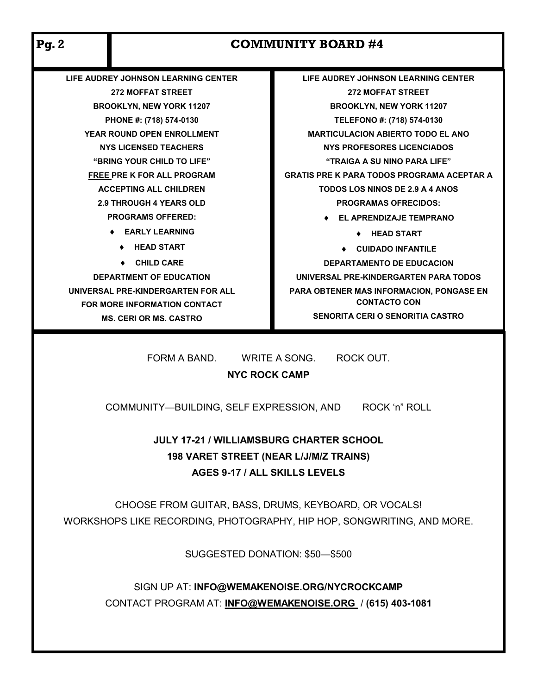| <b>Pg. 2</b>                                                                                                                                                                                                                                                                                                           | <b>COMMUNITY BOARD #4</b>           |                                                   |  |  |
|------------------------------------------------------------------------------------------------------------------------------------------------------------------------------------------------------------------------------------------------------------------------------------------------------------------------|-------------------------------------|---------------------------------------------------|--|--|
|                                                                                                                                                                                                                                                                                                                        | LIFE AUDREY JOHNSON LEARNING CENTER | LIFE AUDREY JOHNSON LEARNING CENTER               |  |  |
| <b>272 MOFFAT STREET</b>                                                                                                                                                                                                                                                                                               |                                     | <b>272 MOFFAT STREET</b>                          |  |  |
| <b>BROOKLYN, NEW YORK 11207</b>                                                                                                                                                                                                                                                                                        |                                     | <b>BROOKLYN, NEW YORK 11207</b>                   |  |  |
| PHONE #: (718) 574-0130                                                                                                                                                                                                                                                                                                |                                     | TELEFONO #: (718) 574-0130                        |  |  |
| <b>YEAR ROUND OPEN ENROLLMENT</b>                                                                                                                                                                                                                                                                                      |                                     | <b>MARTICULACION ABIERTO TODO EL ANO</b>          |  |  |
| <b>NYS LICENSED TEACHERS</b>                                                                                                                                                                                                                                                                                           |                                     | <b>NYS PROFESORES LICENCIADOS</b>                 |  |  |
| "BRING YOUR CHILD TO LIFE"                                                                                                                                                                                                                                                                                             |                                     | "TRAIGA A SU NINO PARA LIFE"                      |  |  |
| <b>FREE PRE K FOR ALL PROGRAM</b>                                                                                                                                                                                                                                                                                      |                                     | <b>GRATIS PRE K PARA TODOS PROGRAMA ACEPTAR A</b> |  |  |
| <b>ACCEPTING ALL CHILDREN</b>                                                                                                                                                                                                                                                                                          |                                     | <b>TODOS LOS NINOS DE 2.9 A 4 ANOS</b>            |  |  |
| <b>2.9 THROUGH 4 YEARS OLD</b>                                                                                                                                                                                                                                                                                         |                                     | <b>PROGRAMAS OFRECIDOS:</b>                       |  |  |
| <b>PROGRAMS OFFERED:</b>                                                                                                                                                                                                                                                                                               |                                     | <b>EL APRENDIZAJE TEMPRANO</b>                    |  |  |
|                                                                                                                                                                                                                                                                                                                        | ♦ EARLY LEARNING                    | $\arrow$ HEAD START                               |  |  |
| <b>HEAD START</b>                                                                                                                                                                                                                                                                                                      |                                     | ♦ CUIDADO INFANTILE                               |  |  |
| $\bullet$ CHILD CARE                                                                                                                                                                                                                                                                                                   |                                     | <b>DEPARTAMENTO DE EDUCACION</b>                  |  |  |
|                                                                                                                                                                                                                                                                                                                        | <b>DEPARTMENT OF EDUCATION</b>      | UNIVERSAL PRE-KINDERGARTEN PARA TODOS             |  |  |
|                                                                                                                                                                                                                                                                                                                        | UNIVERSAL PRE-KINDERGARTEN FOR ALL  | PARA OBTENER MAS INFORMACION, PONGASE EN          |  |  |
|                                                                                                                                                                                                                                                                                                                        | FOR MORE INFORMATION CONTACT        | <b>CONTACTO CON</b>                               |  |  |
|                                                                                                                                                                                                                                                                                                                        | <b>MS. CERI OR MS. CASTRO</b>       | <b>SENORITA CERI O SENORITIA CASTRO</b>           |  |  |
| FORM A BAND.<br>WRITE A SONG.<br>ROCK OUT.<br><b>NYC ROCK CAMP</b><br>ROCK 'n" ROLL<br>COMMUNITY-BUILDING, SELF EXPRESSION, AND<br><b>JULY 17-21 / WILLIAMSBURG CHARTER SCHOOL</b><br>198 VARET STREET (NEAR L/J/M/Z TRAINS)<br>AGES 9-17 / ALL SKILLS LEVELS<br>CHOOSE FROM GUITAR, BASS, DRUMS, KEYBOARD, OR VOCALS! |                                     |                                                   |  |  |
| WORKSHOPS LIKE RECORDING, PHOTOGRAPHY, HIP HOP, SONGWRITING, AND MORE.<br>SUGGESTED DONATION: \$50-\$500                                                                                                                                                                                                               |                                     |                                                   |  |  |
| SIGN UP AT: INFO@WEMAKENOISE.ORG/NYCROCKCAMP<br>CONTACT PROGRAM AT: INFO@WEMAKENOISE.ORG / (615) 403-1081                                                                                                                                                                                                              |                                     |                                                   |  |  |